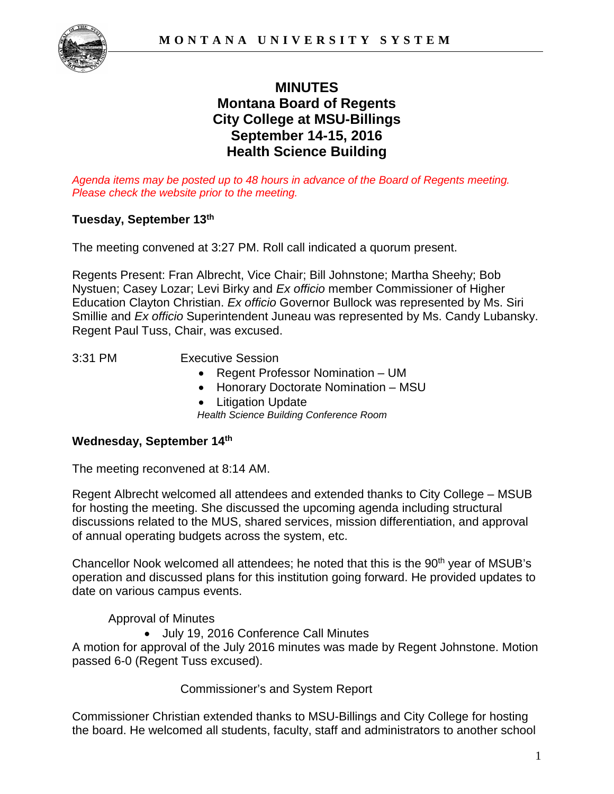

# **MINUTES Montana Board of Regents City College at MSU-Billings September 14-15, 2016 Health Science Building**

*Agenda items may be posted up to 48 hours in advance of the Board of Regents meeting. Please check the website prior to the meeting.*

### **Tuesday, September 13th**

The meeting convened at 3:27 PM. Roll call indicated a quorum present.

Regents Present: Fran Albrecht, Vice Chair; Bill Johnstone; Martha Sheehy; Bob Nystuen; Casey Lozar; Levi Birky and *Ex officio* member Commissioner of Higher Education Clayton Christian. *Ex officio* Governor Bullock was represented by Ms. Siri Smillie and *Ex officio* Superintendent Juneau was represented by Ms. Candy Lubansky. Regent Paul Tuss, Chair, was excused.

3:31 PM Executive Session

- Regent Professor Nomination UM
- Honorary Doctorate Nomination MSU
- 

• Litigation Update *Health Science Building Conference Room*

### **Wednesday, September 14th**

The meeting reconvened at 8:14 AM.

Regent Albrecht welcomed all attendees and extended thanks to City College – MSUB for hosting the meeting. She discussed the upcoming agenda including structural discussions related to the MUS, shared services, mission differentiation, and approval of annual operating budgets across the system, etc.

Chancellor Nook welcomed all attendees; he noted that this is the 90<sup>th</sup> year of MSUB's operation and discussed plans for this institution going forward. He provided updates to date on various campus events.

Approval of Minutes

• July 19, 2016 Conference Call Minutes

A motion for approval of the July 2016 minutes was made by Regent Johnstone. Motion passed 6-0 (Regent Tuss excused).

Commissioner's and System Report

Commissioner Christian extended thanks to MSU-Billings and City College for hosting the board. He welcomed all students, faculty, staff and administrators to another school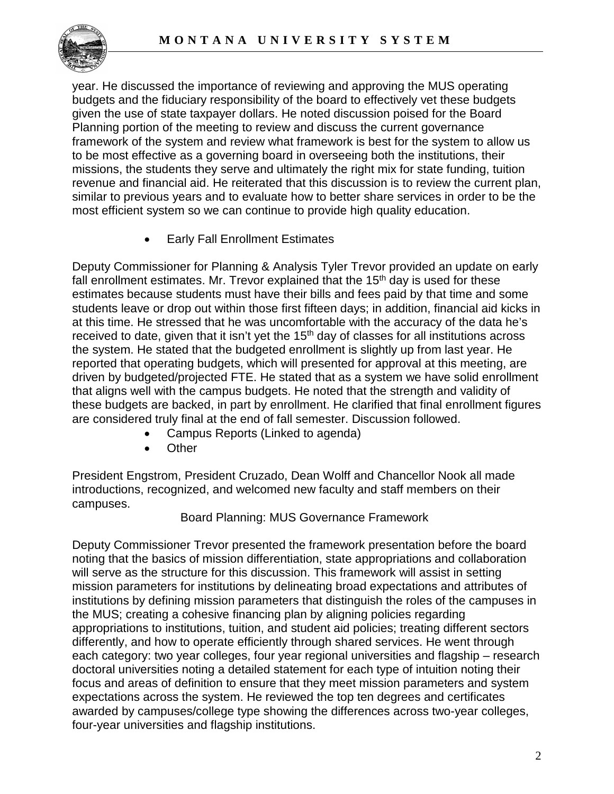

year. He discussed the importance of reviewing and approving the MUS operating budgets and the fiduciary responsibility of the board to effectively vet these budgets given the use of state taxpayer dollars. He noted discussion poised for the Board Planning portion of the meeting to review and discuss the current governance framework of the system and review what framework is best for the system to allow us to be most effective as a governing board in overseeing both the institutions, their missions, the students they serve and ultimately the right mix for state funding, tuition revenue and financial aid. He reiterated that this discussion is to review the current plan, similar to previous years and to evaluate how to better share services in order to be the most efficient system so we can continue to provide high quality education.

• Early Fall Enrollment Estimates

Deputy Commissioner for Planning & Analysis Tyler Trevor provided an update on early fall enrollment estimates. Mr. Trevor explained that the 15<sup>th</sup> day is used for these estimates because students must have their bills and fees paid by that time and some students leave or drop out within those first fifteen days; in addition, financial aid kicks in at this time. He stressed that he was uncomfortable with the accuracy of the data he's received to date, given that it isn't yet the 15<sup>th</sup> day of classes for all institutions across the system. He stated that the budgeted enrollment is slightly up from last year. He reported that operating budgets, which will presented for approval at this meeting, are driven by budgeted/projected FTE. He stated that as a system we have solid enrollment that aligns well with the campus budgets. He noted that the strength and validity of these budgets are backed, in part by enrollment. He clarified that final enrollment figures are considered truly final at the end of fall semester. Discussion followed.

- Campus Reports (Linked to agenda)
- Other

President Engstrom, President Cruzado, Dean Wolff and Chancellor Nook all made introductions, recognized, and welcomed new faculty and staff members on their campuses.

Board Planning: MUS Governance Framework

Deputy Commissioner Trevor presented the framework presentation before the board noting that the basics of mission differentiation, state appropriations and collaboration will serve as the structure for this discussion. This framework will assist in setting mission parameters for institutions by delineating broad expectations and attributes of institutions by defining mission parameters that distinguish the roles of the campuses in the MUS; creating a cohesive financing plan by aligning policies regarding appropriations to institutions, tuition, and student aid policies; treating different sectors differently, and how to operate efficiently through shared services. He went through each category: two year colleges, four year regional universities and flagship – research doctoral universities noting a detailed statement for each type of intuition noting their focus and areas of definition to ensure that they meet mission parameters and system expectations across the system. He reviewed the top ten degrees and certificates awarded by campuses/college type showing the differences across two-year colleges, four-year universities and flagship institutions.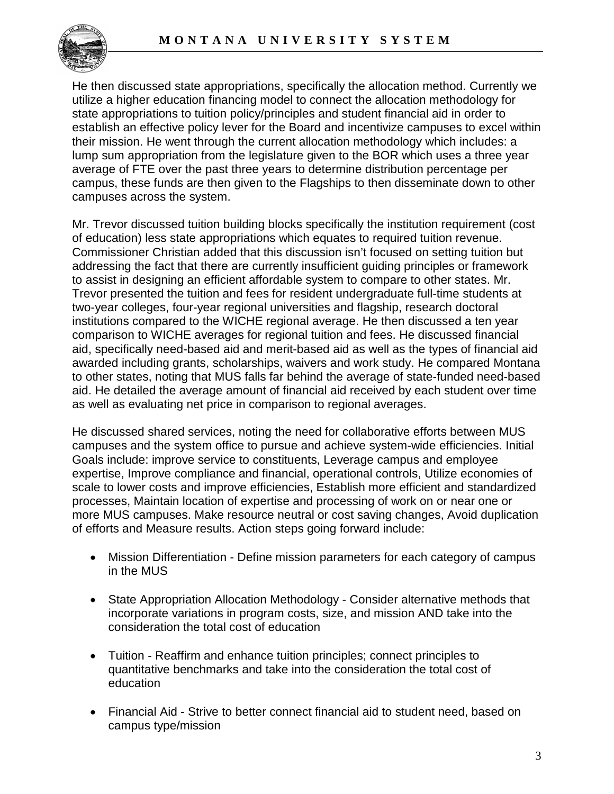

He then discussed state appropriations, specifically the allocation method. Currently we utilize a higher education financing model to connect the allocation methodology for state appropriations to tuition policy/principles and student financial aid in order to establish an effective policy lever for the Board and incentivize campuses to excel within their mission. He went through the current allocation methodology which includes: a lump sum appropriation from the legislature given to the BOR which uses a three year average of FTE over the past three years to determine distribution percentage per campus, these funds are then given to the Flagships to then disseminate down to other campuses across the system.

Mr. Trevor discussed tuition building blocks specifically the institution requirement (cost of education) less state appropriations which equates to required tuition revenue. Commissioner Christian added that this discussion isn't focused on setting tuition but addressing the fact that there are currently insufficient guiding principles or framework to assist in designing an efficient affordable system to compare to other states. Mr. Trevor presented the tuition and fees for resident undergraduate full-time students at two-year colleges, four-year regional universities and flagship, research doctoral institutions compared to the WICHE regional average. He then discussed a ten year comparison to WICHE averages for regional tuition and fees. He discussed financial aid, specifically need-based aid and merit-based aid as well as the types of financial aid awarded including grants, scholarships, waivers and work study. He compared Montana to other states, noting that MUS falls far behind the average of state-funded need-based aid. He detailed the average amount of financial aid received by each student over time as well as evaluating net price in comparison to regional averages.

He discussed shared services, noting the need for collaborative efforts between MUS campuses and the system office to pursue and achieve system-wide efficiencies. Initial Goals include: improve service to constituents, Leverage campus and employee expertise, Improve compliance and financial, operational controls, Utilize economies of scale to lower costs and improve efficiencies, Establish more efficient and standardized processes, Maintain location of expertise and processing of work on or near one or more MUS campuses. Make resource neutral or cost saving changes, Avoid duplication of efforts and Measure results. Action steps going forward include:

- Mission Differentiation Define mission parameters for each category of campus in the MUS
- State Appropriation Allocation Methodology Consider alternative methods that incorporate variations in program costs, size, and mission AND take into the consideration the total cost of education
- Tuition Reaffirm and enhance tuition principles; connect principles to quantitative benchmarks and take into the consideration the total cost of education
- Financial Aid Strive to better connect financial aid to student need, based on campus type/mission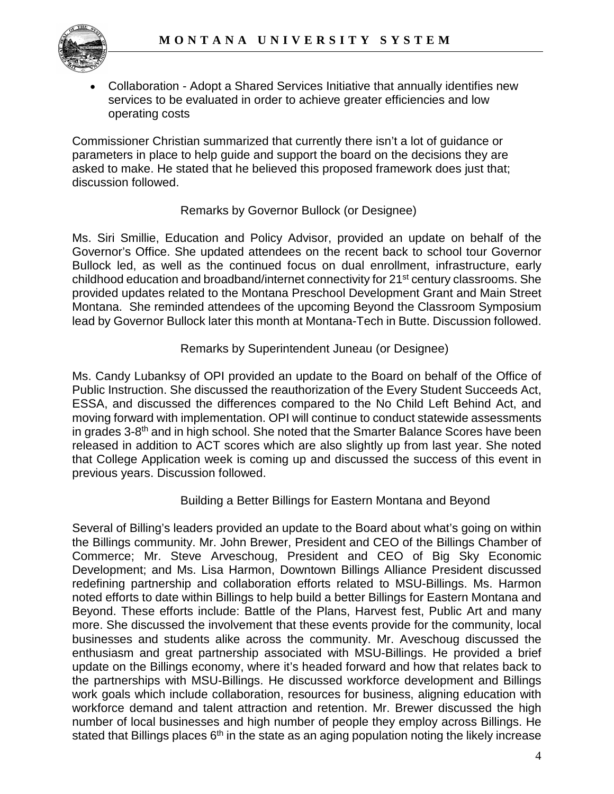

• Collaboration - Adopt a Shared Services Initiative that annually identifies new services to be evaluated in order to achieve greater efficiencies and low operating costs

Commissioner Christian summarized that currently there isn't a lot of guidance or parameters in place to help guide and support the board on the decisions they are asked to make. He stated that he believed this proposed framework does just that; discussion followed.

## Remarks by Governor Bullock (or Designee)

Ms. Siri Smillie, Education and Policy Advisor, provided an update on behalf of the Governor's Office. She updated attendees on the recent back to school tour Governor Bullock led, as well as the continued focus on dual enrollment, infrastructure, early childhood education and broadband/internet connectivity for 21st century classrooms. She provided updates related to the Montana Preschool Development Grant and Main Street Montana. She reminded attendees of the upcoming Beyond the Classroom Symposium lead by Governor Bullock later this month at Montana-Tech in Butte. Discussion followed.

### Remarks by Superintendent Juneau (or Designee)

Ms. Candy Lubanksy of OPI provided an update to the Board on behalf of the Office of Public Instruction. She discussed the reauthorization of the Every Student Succeeds Act, ESSA, and discussed the differences compared to the No Child Left Behind Act, and moving forward with implementation. OPI will continue to conduct statewide assessments in grades 3-8<sup>th</sup> and in high school. She noted that the Smarter Balance Scores have been released in addition to ACT scores which are also slightly up from last year. She noted that College Application week is coming up and discussed the success of this event in previous years. Discussion followed.

### Building a Better Billings for Eastern Montana and Beyond

Several of Billing's leaders provided an update to the Board about what's going on within the Billings community. Mr. John Brewer, President and CEO of the Billings Chamber of Commerce; Mr. Steve Arveschoug, President and CEO of Big Sky Economic Development; and Ms. Lisa Harmon, Downtown Billings Alliance President discussed redefining partnership and collaboration efforts related to MSU-Billings. Ms. Harmon noted efforts to date within Billings to help build a better Billings for Eastern Montana and Beyond. These efforts include: Battle of the Plans, Harvest fest, Public Art and many more. She discussed the involvement that these events provide for the community, local businesses and students alike across the community. Mr. Aveschoug discussed the enthusiasm and great partnership associated with MSU-Billings. He provided a brief update on the Billings economy, where it's headed forward and how that relates back to the partnerships with MSU-Billings. He discussed workforce development and Billings work goals which include collaboration, resources for business, aligning education with workforce demand and talent attraction and retention. Mr. Brewer discussed the high number of local businesses and high number of people they employ across Billings. He stated that Billings places 6<sup>th</sup> in the state as an aging population noting the likely increase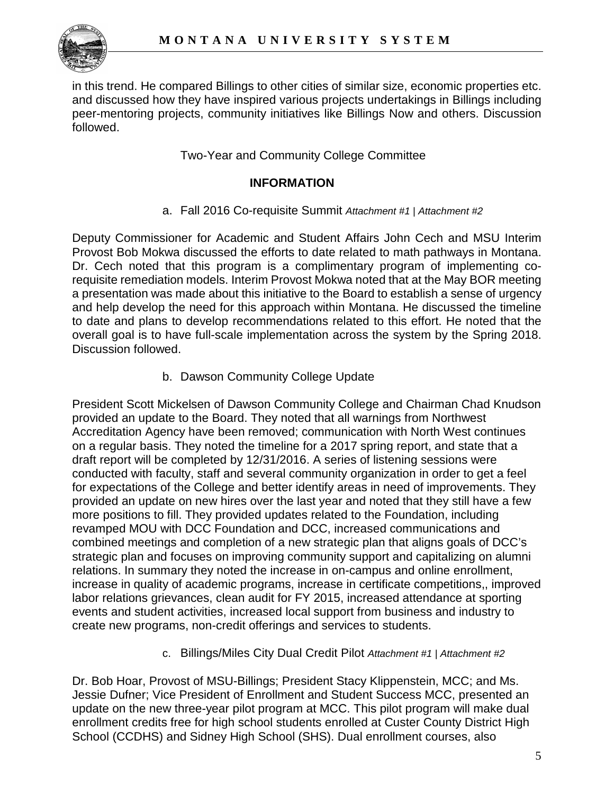

in this trend. He compared Billings to other cities of similar size, economic properties etc. and discussed how they have inspired various projects undertakings in Billings including peer-mentoring projects, community initiatives like Billings Now and others. Discussion followed.

Two-Year and Community College Committee

### **INFORMATION**

a. Fall 2016 Co-requisite Summit *Attachment #1 | Attachment #2*

Deputy Commissioner for Academic and Student Affairs John Cech and MSU Interim Provost Bob Mokwa discussed the efforts to date related to math pathways in Montana. Dr. Cech noted that this program is a complimentary program of implementing corequisite remediation models. Interim Provost Mokwa noted that at the May BOR meeting a presentation was made about this initiative to the Board to establish a sense of urgency and help develop the need for this approach within Montana. He discussed the timeline to date and plans to develop recommendations related to this effort. He noted that the overall goal is to have full-scale implementation across the system by the Spring 2018. Discussion followed.

b. Dawson Community College Update

President Scott Mickelsen of Dawson Community College and Chairman Chad Knudson provided an update to the Board. They noted that all warnings from Northwest Accreditation Agency have been removed; communication with North West continues on a regular basis. They noted the timeline for a 2017 spring report, and state that a draft report will be completed by 12/31/2016. A series of listening sessions were conducted with faculty, staff and several community organization in order to get a feel for expectations of the College and better identify areas in need of improvements. They provided an update on new hires over the last year and noted that they still have a few more positions to fill. They provided updates related to the Foundation, including revamped MOU with DCC Foundation and DCC, increased communications and combined meetings and completion of a new strategic plan that aligns goals of DCC's strategic plan and focuses on improving community support and capitalizing on alumni relations. In summary they noted the increase in on-campus and online enrollment, increase in quality of academic programs, increase in certificate competitions,, improved labor relations grievances, clean audit for FY 2015, increased attendance at sporting events and student activities, increased local support from business and industry to create new programs, non-credit offerings and services to students.

c. Billings/Miles City Dual Credit Pilot *Attachment #1 | Attachment #2*

Dr. Bob Hoar, Provost of MSU-Billings; President Stacy Klippenstein, MCC; and Ms. Jessie Dufner; Vice President of Enrollment and Student Success MCC, presented an update on the new three-year pilot program at MCC. This pilot program will make dual enrollment credits free for high school students enrolled at Custer County District High School (CCDHS) and Sidney High School (SHS). Dual enrollment courses, also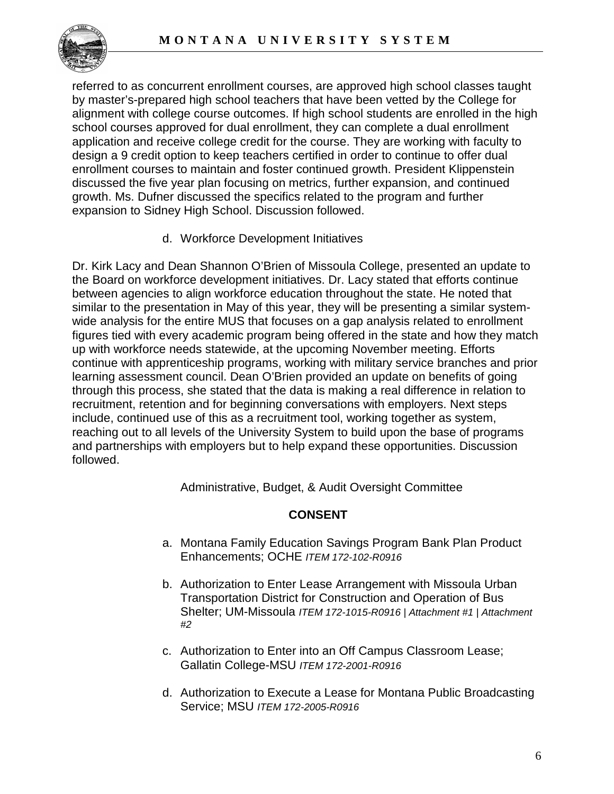

referred to as concurrent enrollment courses, are approved high school classes taught by master's-prepared high school teachers that have been vetted by the College for alignment with college course outcomes. If high school students are enrolled in the high school courses approved for dual enrollment, they can complete a dual enrollment application and receive college credit for the course. They are working with faculty to design a 9 credit option to keep teachers certified in order to continue to offer dual enrollment courses to maintain and foster continued growth. President Klippenstein discussed the five year plan focusing on metrics, further expansion, and continued growth. Ms. Dufner discussed the specifics related to the program and further expansion to Sidney High School. Discussion followed.

d. Workforce Development Initiatives

Dr. Kirk Lacy and Dean Shannon O'Brien of Missoula College, presented an update to the Board on workforce development initiatives. Dr. Lacy stated that efforts continue between agencies to align workforce education throughout the state. He noted that similar to the presentation in May of this year, they will be presenting a similar systemwide analysis for the entire MUS that focuses on a gap analysis related to enrollment figures tied with every academic program being offered in the state and how they match up with workforce needs statewide, at the upcoming November meeting. Efforts continue with apprenticeship programs, working with military service branches and prior learning assessment council. Dean O'Brien provided an update on benefits of going through this process, she stated that the data is making a real difference in relation to recruitment, retention and for beginning conversations with employers. Next steps include, continued use of this as a recruitment tool, working together as system, reaching out to all levels of the University System to build upon the base of programs and partnerships with employers but to help expand these opportunities. Discussion followed.

Administrative, Budget, & Audit Oversight Committee

# **CONSENT**

- a. Montana Family Education Savings Program Bank Plan Product Enhancements; OCHE *ITEM 172-102-R0916*
- b. Authorization to Enter Lease Arrangement with Missoula Urban Transportation District for Construction and Operation of Bus Shelter; UM-Missoula *ITEM 172-1015-R0916 | Attachment #1 | Attachment #2*
- c. Authorization to Enter into an Off Campus Classroom Lease; Gallatin College-MSU *ITEM 172-2001-R0916*
- d. Authorization to Execute a Lease for Montana Public Broadcasting Service; MSU *ITEM 172-2005-R0916*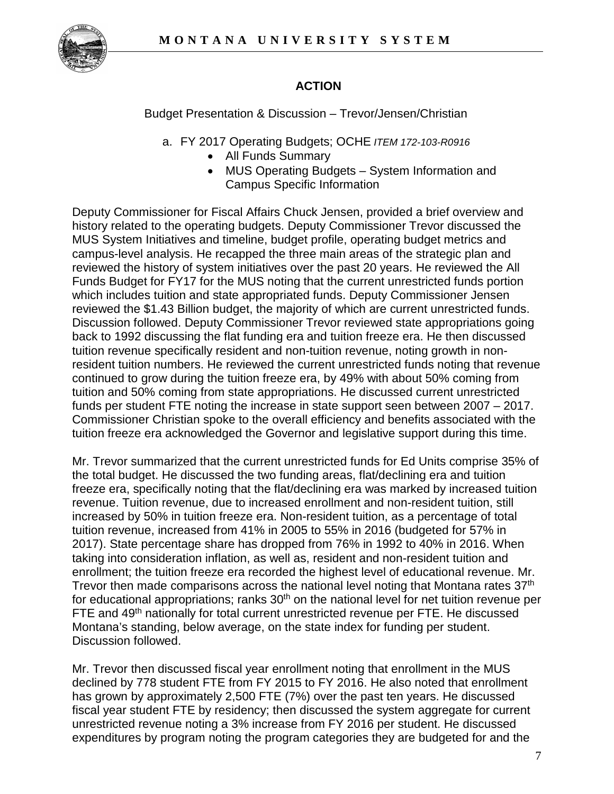

# **ACTION**

Budget Presentation & Discussion – Trevor/Jensen/Christian

- a. FY 2017 Operating Budgets; OCHE *ITEM 172-103-R0916*
	- All Funds Summary
	- MUS Operating Budgets System Information and Campus Specific Information

Deputy Commissioner for Fiscal Affairs Chuck Jensen, provided a brief overview and history related to the operating budgets. Deputy Commissioner Trevor discussed the MUS System Initiatives and timeline, budget profile, operating budget metrics and campus-level analysis. He recapped the three main areas of the strategic plan and reviewed the history of system initiatives over the past 20 years. He reviewed the All Funds Budget for FY17 for the MUS noting that the current unrestricted funds portion which includes tuition and state appropriated funds. Deputy Commissioner Jensen reviewed the \$1.43 Billion budget, the majority of which are current unrestricted funds. Discussion followed. Deputy Commissioner Trevor reviewed state appropriations going back to 1992 discussing the flat funding era and tuition freeze era. He then discussed tuition revenue specifically resident and non-tuition revenue, noting growth in nonresident tuition numbers. He reviewed the current unrestricted funds noting that revenue continued to grow during the tuition freeze era, by 49% with about 50% coming from tuition and 50% coming from state appropriations. He discussed current unrestricted funds per student FTE noting the increase in state support seen between 2007 – 2017. Commissioner Christian spoke to the overall efficiency and benefits associated with the tuition freeze era acknowledged the Governor and legislative support during this time.

Mr. Trevor summarized that the current unrestricted funds for Ed Units comprise 35% of the total budget. He discussed the two funding areas, flat/declining era and tuition freeze era, specifically noting that the flat/declining era was marked by increased tuition revenue. Tuition revenue, due to increased enrollment and non-resident tuition, still increased by 50% in tuition freeze era. Non-resident tuition, as a percentage of total tuition revenue, increased from 41% in 2005 to 55% in 2016 (budgeted for 57% in 2017). State percentage share has dropped from 76% in 1992 to 40% in 2016. When taking into consideration inflation, as well as, resident and non-resident tuition and enrollment; the tuition freeze era recorded the highest level of educational revenue. Mr. Trevor then made comparisons across the national level noting that Montana rates 37<sup>th</sup> for educational appropriations; ranks  $30<sup>th</sup>$  on the national level for net tuition revenue per FTE and 49<sup>th</sup> nationally for total current unrestricted revenue per FTE. He discussed Montana's standing, below average, on the state index for funding per student. Discussion followed.

Mr. Trevor then discussed fiscal year enrollment noting that enrollment in the MUS declined by 778 student FTE from FY 2015 to FY 2016. He also noted that enrollment has grown by approximately 2,500 FTE (7%) over the past ten years. He discussed fiscal year student FTE by residency; then discussed the system aggregate for current unrestricted revenue noting a 3% increase from FY 2016 per student. He discussed expenditures by program noting the program categories they are budgeted for and the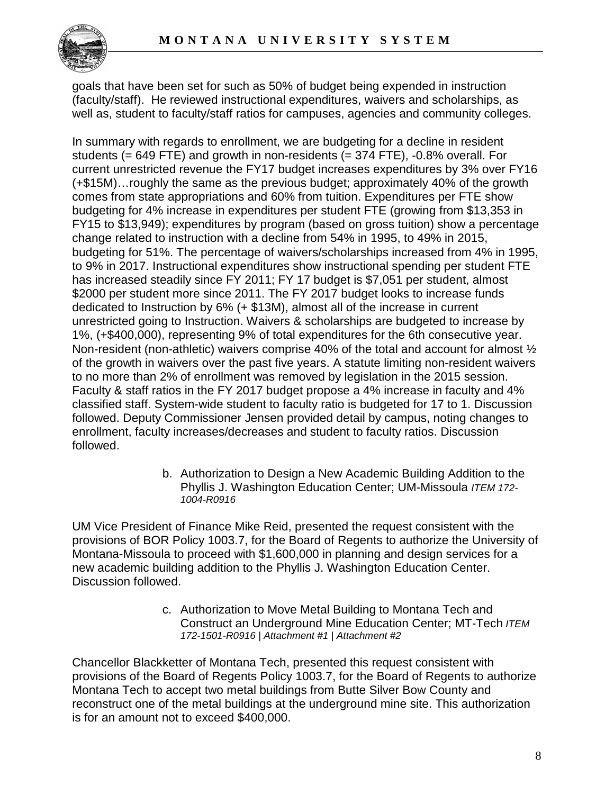

goals that have been set for such as 50% of budget being expended in instruction (faculty/staff). He reviewed instructional expenditures, waivers and scholarships, as well as, student to faculty/staff ratios for campuses, agencies and community colleges.

In summary with regards to enrollment, we are budgeting for a decline in resident students (= 649 FTE) and growth in non-residents (= 374 FTE), -0.8% overall. For current unrestricted revenue the FY17 budget increases expenditures by 3% over FY16 (+\$15M)…roughly the same as the previous budget; approximately 40% of the growth comes from state appropriations and 60% from tuition. Expenditures per FTE show budgeting for 4% increase in expenditures per student FTE (growing from \$13,353 in FY15 to \$13,949); expenditures by program (based on gross tuition) show a percentage change related to instruction with a decline from 54% in 1995, to 49% in 2015, budgeting for 51%. The percentage of waivers/scholarships increased from 4% in 1995, to 9% in 2017. Instructional expenditures show instructional spending per student FTE has increased steadily since FY 2011; FY 17 budget is \$7,051 per student, almost \$2000 per student more since 2011. The FY 2017 budget looks to increase funds dedicated to Instruction by 6% (+ \$13M), almost all of the increase in current unrestricted going to Instruction. Waivers & scholarships are budgeted to increase by 1%, (+\$400,000), representing 9% of total expenditures for the 6th consecutive year. Non-resident (non-athletic) waivers comprise 40% of the total and account for almost ½ of the growth in waivers over the past five years. A statute limiting non-resident waivers to no more than 2% of enrollment was removed by legislation in the 2015 session. Faculty & staff ratios in the FY 2017 budget propose a 4% increase in faculty and 4% classified staff. System-wide student to faculty ratio is budgeted for 17 to 1. Discussion followed. Deputy Commissioner Jensen provided detail by campus, noting changes to enrollment, faculty increases/decreases and student to faculty ratios. Discussion followed.

> b. Authorization to Design a New Academic Building Addition to the Phyllis J. Washington Education Center; UM-Missoula *ITEM 172- 1004-R0916*

UM Vice President of Finance Mike Reid, presented the request consistent with the provisions of BOR Policy 1003.7, for the Board of Regents to authorize the University of Montana-Missoula to proceed with \$1,600,000 in planning and design services for a new academic building addition to the Phyllis J. Washington Education Center. Discussion followed.

> c. Authorization to Move Metal Building to Montana Tech and Construct an Underground Mine Education Center; MT-Tech *ITEM 172-1501-R0916 | Attachment #1 | Attachment #2*

Chancellor Blackketter of Montana Tech, presented this request consistent with provisions of the Board of Regents Policy 1003.7, for the Board of Regents to authorize Montana Tech to accept two metal buildings from Butte Silver Bow County and reconstruct one of the metal buildings at the underground mine site. This authorization is for an amount not to exceed \$400,000.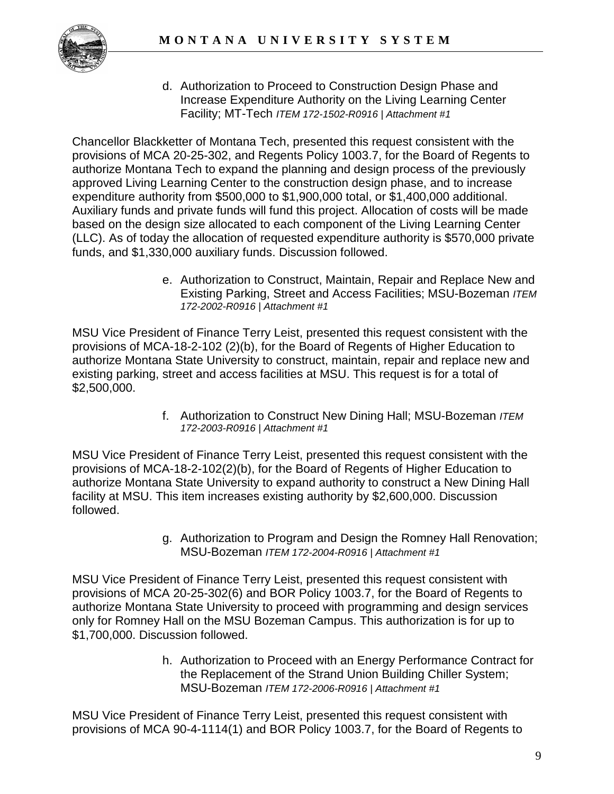

d. Authorization to Proceed to Construction Design Phase and Increase Expenditure Authority on the Living Learning Center Facility; MT-Tech *ITEM 172-1502-R0916 | Attachment #1*

Chancellor Blackketter of Montana Tech, presented this request consistent with the provisions of MCA 20-25-302, and Regents Policy 1003.7, for the Board of Regents to authorize Montana Tech to expand the planning and design process of the previously approved Living Learning Center to the construction design phase, and to increase expenditure authority from \$500,000 to \$1,900,000 total, or \$1,400,000 additional. Auxiliary funds and private funds will fund this project. Allocation of costs will be made based on the design size allocated to each component of the Living Learning Center (LLC). As of today the allocation of requested expenditure authority is \$570,000 private funds, and \$1,330,000 auxiliary funds. Discussion followed.

> e. Authorization to Construct, Maintain, Repair and Replace New and Existing Parking, Street and Access Facilities; MSU-Bozeman *ITEM 172-2002-R0916 | Attachment #1*

MSU Vice President of Finance Terry Leist, presented this request consistent with the provisions of MCA-18-2-102 (2)(b), for the Board of Regents of Higher Education to authorize Montana State University to construct, maintain, repair and replace new and existing parking, street and access facilities at MSU. This request is for a total of \$2,500,000.

> f. Authorization to Construct New Dining Hall; MSU-Bozeman *ITEM 172-2003-R0916 | Attachment #1*

MSU Vice President of Finance Terry Leist, presented this request consistent with the provisions of MCA-18-2-102(2)(b), for the Board of Regents of Higher Education to authorize Montana State University to expand authority to construct a New Dining Hall facility at MSU. This item increases existing authority by \$2,600,000. Discussion followed.

> g. Authorization to Program and Design the Romney Hall Renovation; MSU-Bozeman *ITEM 172-2004-R0916 | Attachment #1*

MSU Vice President of Finance Terry Leist, presented this request consistent with provisions of MCA 20-25-302(6) and BOR Policy 1003.7, for the Board of Regents to authorize Montana State University to proceed with programming and design services only for Romney Hall on the MSU Bozeman Campus. This authorization is for up to \$1,700,000. Discussion followed.

> h. Authorization to Proceed with an Energy Performance Contract for the Replacement of the Strand Union Building Chiller System; MSU-Bozeman *ITEM 172-2006-R0916 | Attachment #1*

MSU Vice President of Finance Terry Leist, presented this request consistent with provisions of MCA 90-4-1114(1) and BOR Policy 1003.7, for the Board of Regents to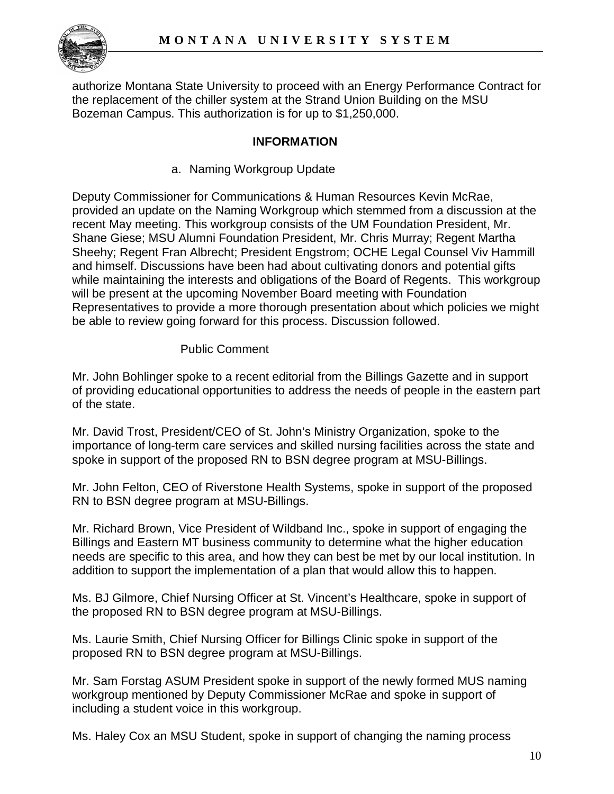

authorize Montana State University to proceed with an Energy Performance Contract for the replacement of the chiller system at the Strand Union Building on the MSU Bozeman Campus. This authorization is for up to \$1,250,000.

## **INFORMATION**

a. Naming Workgroup Update

Deputy Commissioner for Communications & Human Resources Kevin McRae, provided an update on the Naming Workgroup which stemmed from a discussion at the recent May meeting. This workgroup consists of the UM Foundation President, Mr. Shane Giese; MSU Alumni Foundation President, Mr. Chris Murray; Regent Martha Sheehy; Regent Fran Albrecht; President Engstrom; OCHE Legal Counsel Viv Hammill and himself. Discussions have been had about cultivating donors and potential gifts while maintaining the interests and obligations of the Board of Regents. This workgroup will be present at the upcoming November Board meeting with Foundation Representatives to provide a more thorough presentation about which policies we might be able to review going forward for this process. Discussion followed.

## Public Comment

Mr. John Bohlinger spoke to a recent editorial from the Billings Gazette and in support of providing educational opportunities to address the needs of people in the eastern part of the state.

Mr. David Trost, President/CEO of St. John's Ministry Organization, spoke to the importance of long-term care services and skilled nursing facilities across the state and spoke in support of the proposed RN to BSN degree program at MSU-Billings.

Mr. John Felton, CEO of Riverstone Health Systems, spoke in support of the proposed RN to BSN degree program at MSU-Billings.

Mr. Richard Brown, Vice President of Wildband Inc., spoke in support of engaging the Billings and Eastern MT business community to determine what the higher education needs are specific to this area, and how they can best be met by our local institution. In addition to support the implementation of a plan that would allow this to happen.

Ms. BJ Gilmore, Chief Nursing Officer at St. Vincent's Healthcare, spoke in support of the proposed RN to BSN degree program at MSU-Billings.

Ms. Laurie Smith, Chief Nursing Officer for Billings Clinic spoke in support of the proposed RN to BSN degree program at MSU-Billings.

Mr. Sam Forstag ASUM President spoke in support of the newly formed MUS naming workgroup mentioned by Deputy Commissioner McRae and spoke in support of including a student voice in this workgroup.

Ms. Haley Cox an MSU Student, spoke in support of changing the naming process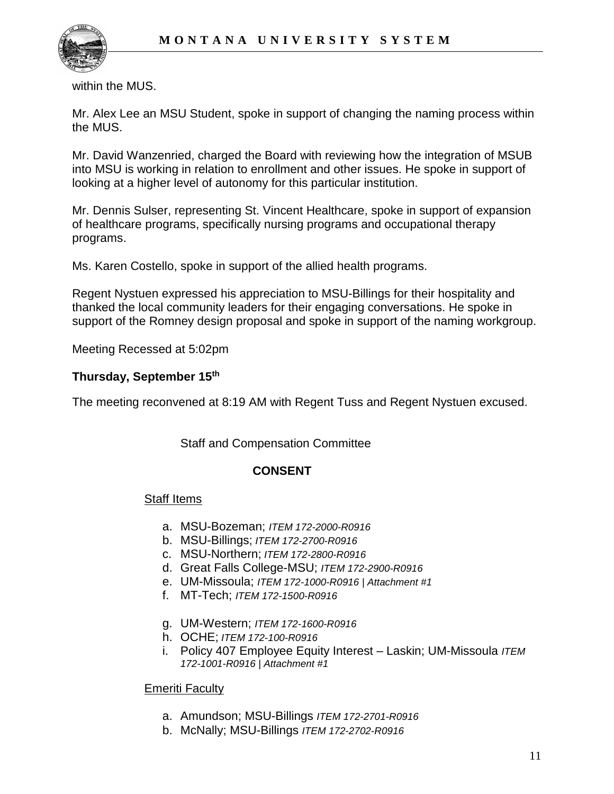

within the MUS.

Mr. Alex Lee an MSU Student, spoke in support of changing the naming process within the MUS.

Mr. David Wanzenried, charged the Board with reviewing how the integration of MSUB into MSU is working in relation to enrollment and other issues. He spoke in support of looking at a higher level of autonomy for this particular institution.

Mr. Dennis Sulser, representing St. Vincent Healthcare, spoke in support of expansion of healthcare programs, specifically nursing programs and occupational therapy programs.

Ms. Karen Costello, spoke in support of the allied health programs.

Regent Nystuen expressed his appreciation to MSU-Billings for their hospitality and thanked the local community leaders for their engaging conversations. He spoke in support of the Romney design proposal and spoke in support of the naming workgroup.

Meeting Recessed at 5:02pm

#### **Thursday, September 15th**

The meeting reconvened at 8:19 AM with Regent Tuss and Regent Nystuen excused.

Staff and Compensation Committee

### **CONSENT**

#### Staff Items

- a. MSU-Bozeman; *ITEM 172-2000-R0916*
- b. MSU-Billings; *ITEM 172-2700-R0916*
- c. MSU-Northern; *ITEM 172-2800-R0916*
- d. Great Falls College-MSU; *ITEM 172-2900-R0916*
- e. UM-Missoula; *ITEM 172-1000-R0916 | Attachment #1*
- f. MT-Tech; *ITEM 172-1500-R0916*
- g. UM-Western; *ITEM 172-1600-R0916*
- h. OCHE; *ITEM 172-100-R0916*
- i. Policy 407 Employee Equity Interest Laskin; UM-Missoula *ITEM 172-1001-R0916 | Attachment #1*

#### **Emeriti Faculty**

- a. Amundson; MSU-Billings *ITEM 172-2701-R0916*
- b. McNally; MSU-Billings *ITEM 172-2702-R0916*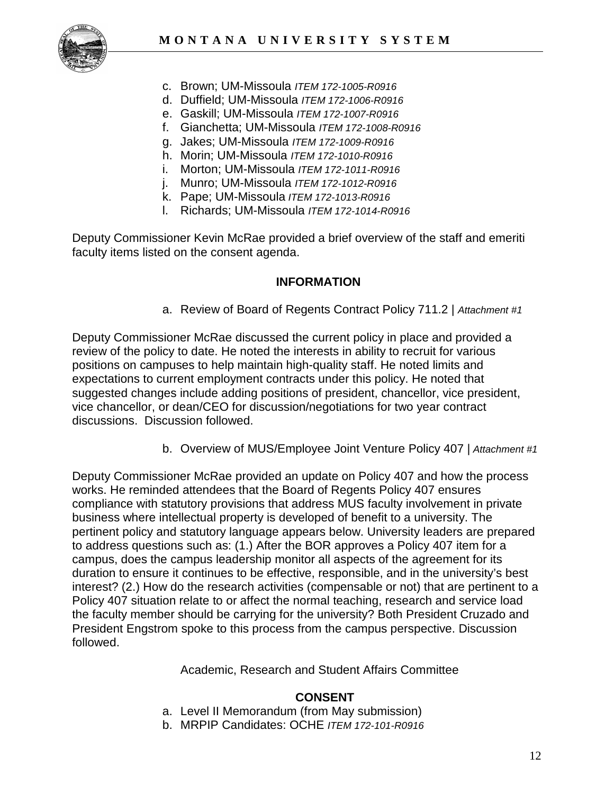

- c. Brown; UM-Missoula *ITEM 172-1005-R0916*
- d. Duffield; UM-Missoula *ITEM 172-1006-R0916*
- e. Gaskill; UM-Missoula *ITEM 172-1007-R0916*
- f. Gianchetta; UM-Missoula *ITEM 172-1008-R0916*
- g. Jakes; UM-Missoula *ITEM 172-1009-R0916*
- h. Morin; UM-Missoula *ITEM 172-1010-R0916*
- i. Morton; UM-Missoula *ITEM 172-1011-R0916*
- j. Munro; UM-Missoula *ITEM 172-1012-R0916*
- k. Pape; UM-Missoula *ITEM 172-1013-R0916*
- l. Richards; UM-Missoula *ITEM 172-1014-R0916*

Deputy Commissioner Kevin McRae provided a brief overview of the staff and emeriti faculty items listed on the consent agenda.

### **INFORMATION**

a. Review of Board of Regents Contract Policy 711.2 | *Attachment #1*

Deputy Commissioner McRae discussed the current policy in place and provided a review of the policy to date. He noted the interests in ability to recruit for various positions on campuses to help maintain high-quality staff. He noted limits and expectations to current employment contracts under this policy. He noted that suggested changes include adding positions of president, chancellor, vice president, vice chancellor, or dean/CEO for discussion/negotiations for two year contract discussions. Discussion followed.

b. Overview of MUS/Employee Joint Venture Policy 407 | *Attachment #1*

Deputy Commissioner McRae provided an update on Policy 407 and how the process works. He reminded attendees that the Board of Regents Policy 407 ensures compliance with statutory provisions that address MUS faculty involvement in private business where intellectual property is developed of benefit to a university. The pertinent policy and statutory language appears below. University leaders are prepared to address questions such as: (1.) After the BOR approves a Policy 407 item for a campus, does the campus leadership monitor all aspects of the agreement for its duration to ensure it continues to be effective, responsible, and in the university's best interest? (2.) How do the research activities (compensable or not) that are pertinent to a Policy 407 situation relate to or affect the normal teaching, research and service load the faculty member should be carrying for the university? Both President Cruzado and President Engstrom spoke to this process from the campus perspective. Discussion followed.

Academic, Research and Student Affairs Committee

### **CONSENT**

- a. Level II Memorandum (from May submission)
- b. MRPIP Candidates: OCHE *ITEM 172-101-R0916*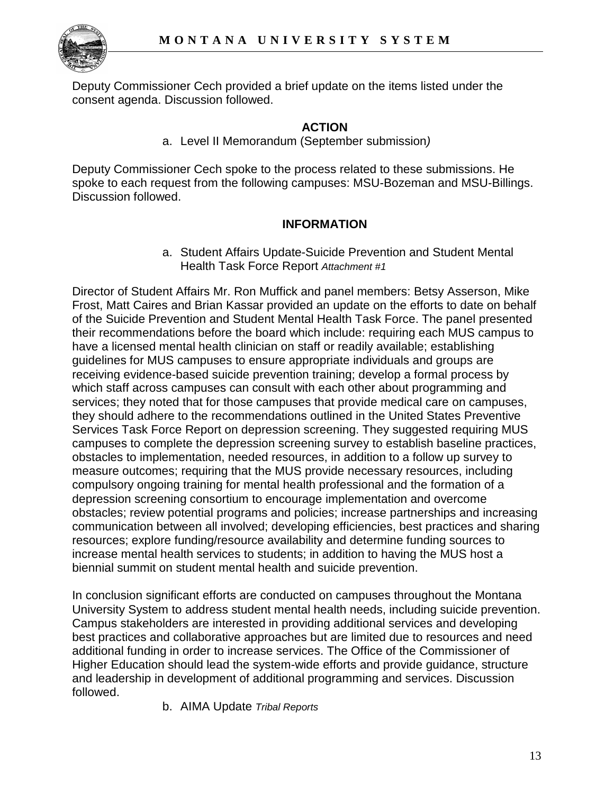

Deputy Commissioner Cech provided a brief update on the items listed under the consent agenda. Discussion followed.

### **ACTION**

a. Level II Memorandum (September submission*)*

Deputy Commissioner Cech spoke to the process related to these submissions. He spoke to each request from the following campuses: MSU-Bozeman and MSU-Billings. Discussion followed.

### **INFORMATION**

a. Student Affairs Update-Suicide Prevention and Student Mental Health Task Force Report *Attachment #1*

Director of Student Affairs Mr. Ron Muffick and panel members: Betsy Asserson, Mike Frost, Matt Caires and Brian Kassar provided an update on the efforts to date on behalf of the Suicide Prevention and Student Mental Health Task Force. The panel presented their recommendations before the board which include: requiring each MUS campus to have a licensed mental health clinician on staff or readily available; establishing guidelines for MUS campuses to ensure appropriate individuals and groups are receiving evidence-based suicide prevention training; develop a formal process by which staff across campuses can consult with each other about programming and services; they noted that for those campuses that provide medical care on campuses, they should adhere to the recommendations outlined in the United States Preventive Services Task Force Report on depression screening. They suggested requiring MUS campuses to complete the depression screening survey to establish baseline practices, obstacles to implementation, needed resources, in addition to a follow up survey to measure outcomes; requiring that the MUS provide necessary resources, including compulsory ongoing training for mental health professional and the formation of a depression screening consortium to encourage implementation and overcome obstacles; review potential programs and policies; increase partnerships and increasing communication between all involved; developing efficiencies, best practices and sharing resources; explore funding/resource availability and determine funding sources to increase mental health services to students; in addition to having the MUS host a biennial summit on student mental health and suicide prevention.

In conclusion significant efforts are conducted on campuses throughout the Montana University System to address student mental health needs, including suicide prevention. Campus stakeholders are interested in providing additional services and developing best practices and collaborative approaches but are limited due to resources and need additional funding in order to increase services. The Office of the Commissioner of Higher Education should lead the system-wide efforts and provide guidance, structure and leadership in development of additional programming and services. Discussion followed.

b. AIMA Update *Tribal Reports*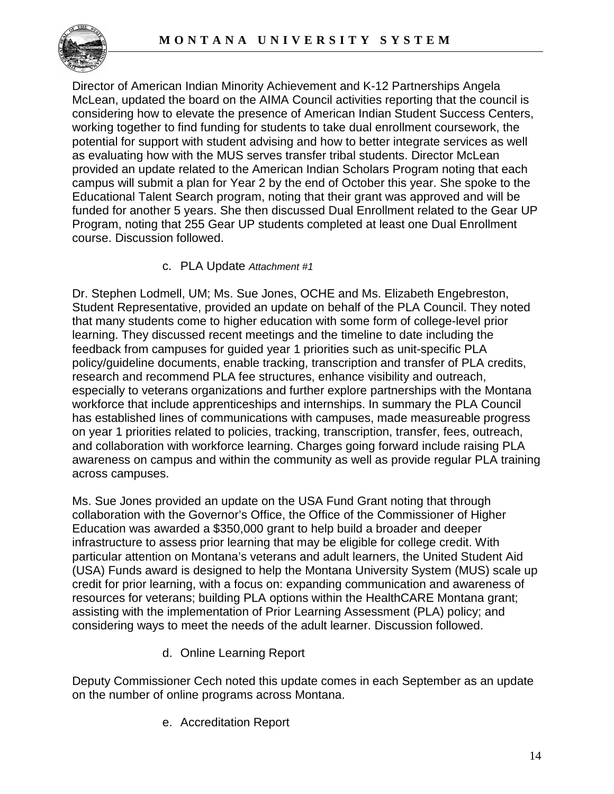

Director of American Indian Minority Achievement and K-12 Partnerships Angela McLean, updated the board on the AIMA Council activities reporting that the council is considering how to elevate the presence of American Indian Student Success Centers, working together to find funding for students to take dual enrollment coursework, the potential for support with student advising and how to better integrate services as well as evaluating how with the MUS serves transfer tribal students. Director McLean provided an update related to the American Indian Scholars Program noting that each campus will submit a plan for Year 2 by the end of October this year. She spoke to the Educational Talent Search program, noting that their grant was approved and will be funded for another 5 years. She then discussed Dual Enrollment related to the Gear UP Program, noting that 255 Gear UP students completed at least one Dual Enrollment course. Discussion followed.

## c. PLA Update *Attachment #1*

Dr. Stephen Lodmell, UM; Ms. Sue Jones, OCHE and Ms. Elizabeth Engebreston, Student Representative, provided an update on behalf of the PLA Council. They noted that many students come to higher education with some form of college-level prior learning. They discussed recent meetings and the timeline to date including the feedback from campuses for guided year 1 priorities such as unit-specific PLA policy/guideline documents, enable tracking, transcription and transfer of PLA credits, research and recommend PLA fee structures, enhance visibility and outreach, especially to veterans organizations and further explore partnerships with the Montana workforce that include apprenticeships and internships. In summary the PLA Council has established lines of communications with campuses, made measureable progress on year 1 priorities related to policies, tracking, transcription, transfer, fees, outreach, and collaboration with workforce learning. Charges going forward include raising PLA awareness on campus and within the community as well as provide regular PLA training across campuses.

Ms. Sue Jones provided an update on the USA Fund Grant noting that through collaboration with the Governor's Office, the Office of the Commissioner of Higher Education was awarded a \$350,000 grant to help build a broader and deeper infrastructure to assess prior learning that may be eligible for college credit. With particular attention on Montana's veterans and adult learners, the United Student Aid (USA) Funds award is designed to help the Montana University System (MUS) scale up credit for prior learning, with a focus on: expanding communication and awareness of resources for veterans; building PLA options within the HealthCARE Montana grant; assisting with the implementation of Prior Learning Assessment (PLA) policy; and considering ways to meet the needs of the adult learner. Discussion followed.

d. Online Learning Report

Deputy Commissioner Cech noted this update comes in each September as an update on the number of online programs across Montana.

e. Accreditation Report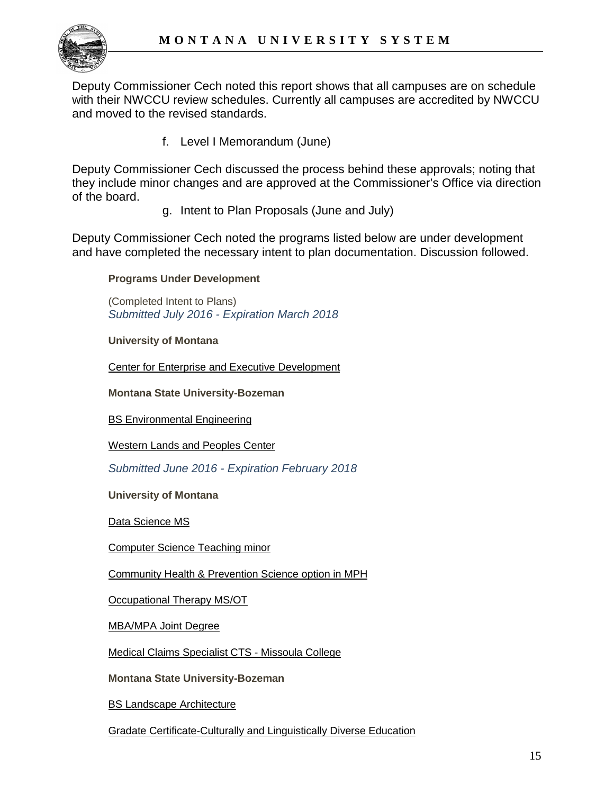

Deputy Commissioner Cech noted this report shows that all campuses are on schedule with their NWCCU review schedules. Currently all campuses are accredited by NWCCU and moved to the revised standards.

f. Level I Memorandum (June)

Deputy Commissioner Cech discussed the process behind these approvals; noting that they include minor changes and are approved at the Commissioner's Office via direction of the board.

g. Intent to Plan Proposals (June and July)

Deputy Commissioner Cech noted the programs listed below are under development and have completed the necessary intent to plan documentation. Discussion followed.

**Programs Under Development**

(Completed Intent to Plans) *Submitted July 2016 - Expiration March 2018*

**University of Montana**

[Center for Enterprise and Executive Development](http://mus.edu/che/arsa/IntenttoPlan/2016/UM/I2P_UM_July2016_CenterforEnterpriseandExecutiveDevelopment.pdf)

**Montana State University-Bozeman**

[BS Environmental Engineering](http://mus.edu/che/arsa/IntenttoPlan/2016/MSU/I2P_MSU_July2016_BSEnvironmentalEngineering.pdf)

[Western Lands and Peoples Center](http://mus.edu/che/arsa/IntenttoPlan/2016/MSU/I2P_MSU_July2016_WesternLandsandPeoplesCenter.pdf)

*Submitted June 2016 - Expiration February 2018*

**University of Montana**

[Data Science MS](http://mus.edu/che/arsa/IntenttoPlan/2016/UM/I2P_UM_June2016_Data%20Science%20MS.pdf)

[Computer Science Teaching minor](http://mus.edu/che/arsa/IntenttoPlan/2016/UM/I2P_UM_June2016_ComputerSci%20Teaching%20Minor.pdf)

[Community Health & Prevention Science option in MPH](http://mus.edu/che/arsa/IntenttoPlan/2016/UM/I2P_UM_June2016_Comm%20Health%20Prev%20Sci%20option%20MPH.pdf)

[Occupational Therapy MS/OT](http://mus.edu/che/arsa/IntenttoPlan/2016/UM/I2P_UM_June2016_Occupational%20Therapy.pdf)

[MBA/MPA Joint Degree](http://mus.edu/che/arsa/IntenttoPlan/2016/UM/I2P_UM_June2016_MPA-MBA.pdf)

[Medical Claims Specialist CTS -](http://mus.edu/che/arsa/IntenttoPlan/2016/UM/I2P_UM_June2016_Medical%20Claims%20Specialist%20CTS.pdf) Missoula College

**Montana State University-Bozeman**

[BS Landscape Architecture](http://mus.edu/che/arsa/IntenttoPlan/2016/MSU/I2P_MSU_June2016_BS%20Landscape%20Architecture.pdf)

[Gradate Certificate-Culturally and Linguistically Diverse Education](http://mus.edu/che/arsa/IntenttoPlan/2016/MSU/I2P_MSU_June%202016_GradCert%20Cul&Ling%20Diverse%20Ed.pdf)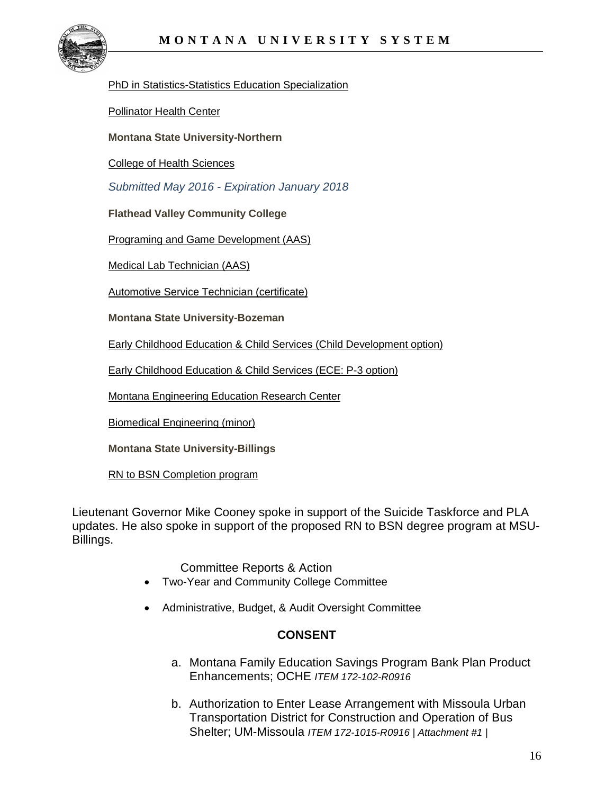

#### [PhD in Statistics-Statistics Education Specialization](http://mus.edu/che/arsa/IntenttoPlan/2016/MSU/I2P_MSU_June2016_PhD%20Statistics%20Stats%20Ed.pdf)

[Pollinator Health Center](http://mus.edu/che/arsa/IntenttoPlan/2016/MSU/I2P_MSU_June2016_Pollinator%20Health%20Center.pdf)

**Montana State University-Northern**

[College of Health Sciences](http://mus.edu/che/arsa/IntenttoPlan/2016/MSUN/I2P_MSUN_June2016_College%20of%20Health%20Sciences.pdf)

*Submitted May 2016 - Expiration January 2018*

**Flathead Valley Community College**

[Programing and Game Development \(AAS\)](http://mus.edu/che/arsa/IntenttoPlan/2016/FVCC/I2P_FVCC_May2016_Programming_Game_Development.pdf)

[Medical Lab Technician \(AAS\)](http://mus.edu/che/arsa/IntenttoPlan/2016/FVCC/I2P_FVCC_May2016_Medical_Lab_Tech.pdf)

[Automotive Service Technician \(certificate\)](http://mus.edu/che/arsa/IntenttoPlan/2016/FVCC/I2P_FVCC_May2016_Automotive_Tech.pdf)

**Montana State University-Bozeman**

[Early Childhood Education & Child Services](http://mus.edu/che/arsa/IntenttoPlan/2016/MSU/I2P_MSU_May2016_ECECS_Child_Dev_Option.pdf) (Child Development option)

[Early Childhood Education & Child Services \(ECE: P-3 option\)](http://mus.edu/che/arsa/IntenttoPlan/2016/MSU/I2P_MSU_May2016_ECECS_P-3_Option.pdf)

[Montana Engineering Education Research Center](http://mus.edu/che/arsa/IntenttoPlan/2016/MSU/I2P_MSU_May2016_MEERC.pdf)

[Biomedical Engineering \(minor\)](http://mus.edu/che/arsa/IntenttoPlan/2016/MSU/I2P_MSU_May2016_Minor_Biomedical_Eng.pdf)

**Montana State University-Billings**

[RN to BSN Completion program](http://mus.edu/che/arsa/IntenttoPlan/2016/MSUB/I2P_MSUB_May2016_%20RN_to_BSN.pdf)

Lieutenant Governor Mike Cooney spoke in support of the Suicide Taskforce and PLA updates. He also spoke in support of the proposed RN to BSN degree program at MSU-Billings.

Committee Reports & Action

- Two-Year and Community College Committee
- Administrative, Budget, & Audit Oversight Committee

## **CONSENT**

- a. Montana Family Education Savings Program Bank Plan Product Enhancements; OCHE *ITEM 172-102-R0916*
- b. Authorization to Enter Lease Arrangement with Missoula Urban Transportation District for Construction and Operation of Bus Shelter; UM-Missoula *ITEM 172-1015-R0916 | Attachment #1 |*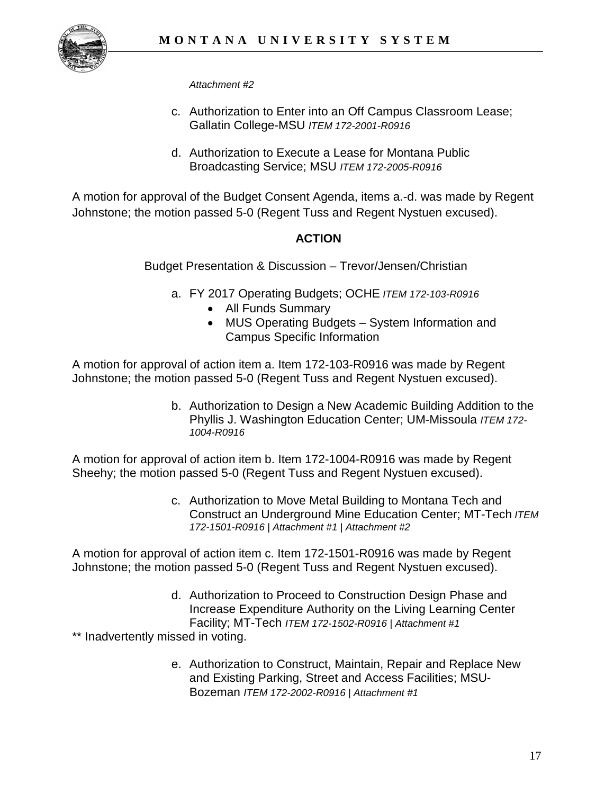

*Attachment #2*

- c. Authorization to Enter into an Off Campus Classroom Lease; Gallatin College-MSU *ITEM 172-2001-R0916*
- d. Authorization to Execute a Lease for Montana Public Broadcasting Service; MSU *ITEM 172-2005-R0916*

A motion for approval of the Budget Consent Agenda, items a.-d. was made by Regent Johnstone; the motion passed 5-0 (Regent Tuss and Regent Nystuen excused).

# **ACTION**

Budget Presentation & Discussion – Trevor/Jensen/Christian

- a. FY 2017 Operating Budgets; OCHE *ITEM 172-103-R0916*
	- All Funds Summary
	- MUS Operating Budgets System Information and Campus Specific Information

A motion for approval of action item a. Item 172-103-R0916 was made by Regent Johnstone; the motion passed 5-0 (Regent Tuss and Regent Nystuen excused).

> b. Authorization to Design a New Academic Building Addition to the Phyllis J. Washington Education Center; UM-Missoula *ITEM 172- 1004-R0916*

A motion for approval of action item b. Item 172-1004-R0916 was made by Regent Sheehy; the motion passed 5-0 (Regent Tuss and Regent Nystuen excused).

> c. Authorization to Move Metal Building to Montana Tech and Construct an Underground Mine Education Center; MT-Tech *ITEM 172-1501-R0916 | Attachment #1 | Attachment #2*

A motion for approval of action item c. Item 172-1501-R0916 was made by Regent Johnstone; the motion passed 5-0 (Regent Tuss and Regent Nystuen excused).

> d. Authorization to Proceed to Construction Design Phase and Increase Expenditure Authority on the Living Learning Center Facility; MT-Tech *ITEM 172-1502-R0916 | Attachment #1*

\*\* Inadvertently missed in voting.

e. Authorization to Construct, Maintain, Repair and Replace New and Existing Parking, Street and Access Facilities; MSU-Bozeman *ITEM 172-2002-R0916 | Attachment #1*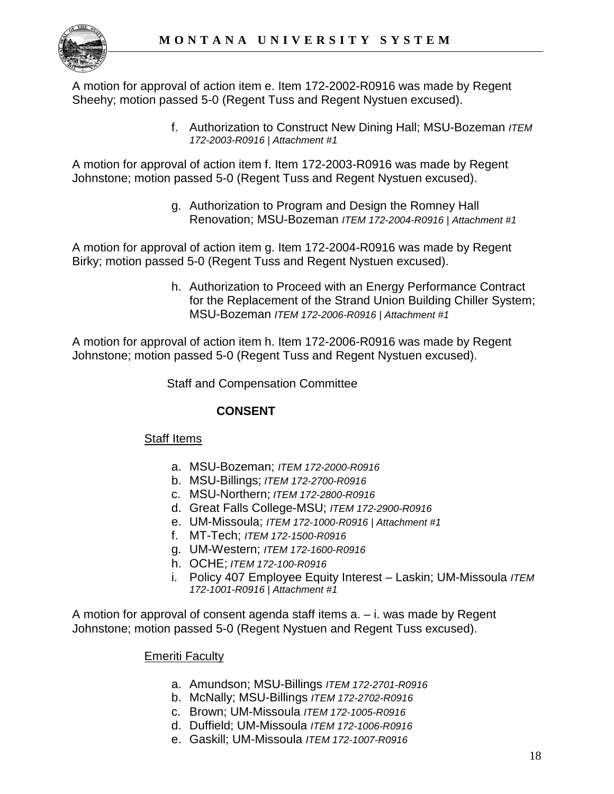

A motion for approval of action item e. Item 172-2002-R0916 was made by Regent Sheehy; motion passed 5-0 (Regent Tuss and Regent Nystuen excused).

> f. Authorization to Construct New Dining Hall; MSU-Bozeman *ITEM 172-2003-R0916 | Attachment #1*

A motion for approval of action item f. Item 172-2003-R0916 was made by Regent Johnstone; motion passed 5-0 (Regent Tuss and Regent Nystuen excused).

> g. Authorization to Program and Design the Romney Hall Renovation; MSU-Bozeman *ITEM 172-2004-R0916 | Attachment #1*

A motion for approval of action item g. Item 172-2004-R0916 was made by Regent Birky; motion passed 5-0 (Regent Tuss and Regent Nystuen excused).

> h. Authorization to Proceed with an Energy Performance Contract for the Replacement of the Strand Union Building Chiller System; MSU-Bozeman *ITEM 172-2006-R0916 | Attachment #1*

A motion for approval of action item h. Item 172-2006-R0916 was made by Regent Johnstone; motion passed 5-0 (Regent Tuss and Regent Nystuen excused).

Staff and Compensation Committee

# **CONSENT**

### Staff Items

- a. MSU-Bozeman; *ITEM 172-2000-R0916*
- b. MSU-Billings; *ITEM 172-2700-R0916*
- c. MSU-Northern; *ITEM 172-2800-R0916*
- d. Great Falls College-MSU; *ITEM 172-2900-R0916*
- e. UM-Missoula; *ITEM 172-1000-R0916 | Attachment #1*
- f. MT-Tech; *ITEM 172-1500-R0916*
- g. UM-Western; *ITEM 172-1600-R0916*
- h. OCHE; *ITEM 172-100-R0916*
- i. Policy 407 Employee Equity Interest Laskin; UM-Missoula *ITEM 172-1001-R0916 | Attachment #1*

A motion for approval of consent agenda staff items a. – i. was made by Regent Johnstone; motion passed 5-0 (Regent Nystuen and Regent Tuss excused).

### **Emeriti Faculty**

- a. Amundson; MSU-Billings *ITEM 172-2701-R0916*
- b. McNally; MSU-Billings *ITEM 172-2702-R0916*
- c. Brown; UM-Missoula *ITEM 172-1005-R0916*
- d. Duffield; UM-Missoula *ITEM 172-1006-R0916*
- e. Gaskill; UM-Missoula *ITEM 172-1007-R0916*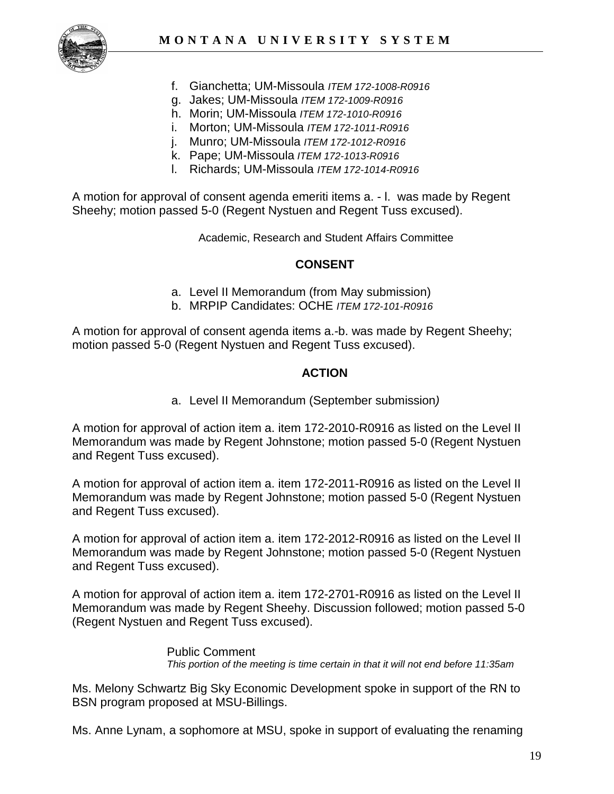

- f. Gianchetta; UM-Missoula *ITEM 172-1008-R0916*
- g. Jakes; UM-Missoula *ITEM 172-1009-R0916*
- h. Morin; UM-Missoula *ITEM 172-1010-R0916*
- i. Morton; UM-Missoula *ITEM 172-1011-R0916*
- j. Munro; UM-Missoula *ITEM 172-1012-R0916*
- k. Pape; UM-Missoula *ITEM 172-1013-R0916*
- l. Richards; UM-Missoula *ITEM 172-1014-R0916*

A motion for approval of consent agenda emeriti items a. - l. was made by Regent Sheehy; motion passed 5-0 (Regent Nystuen and Regent Tuss excused).

Academic, Research and Student Affairs Committee

#### **CONSENT**

- a. Level II Memorandum (from May submission)
- b. MRPIP Candidates: OCHE *ITEM 172-101-R0916*

A motion for approval of consent agenda items a.-b. was made by Regent Sheehy; motion passed 5-0 (Regent Nystuen and Regent Tuss excused).

### **ACTION**

a. Level II Memorandum (September submission*)*

A motion for approval of action item a. item 172-2010-R0916 as listed on the Level II Memorandum was made by Regent Johnstone; motion passed 5-0 (Regent Nystuen and Regent Tuss excused).

A motion for approval of action item a. item 172-2011-R0916 as listed on the Level II Memorandum was made by Regent Johnstone; motion passed 5-0 (Regent Nystuen and Regent Tuss excused).

A motion for approval of action item a. item 172-2012-R0916 as listed on the Level II Memorandum was made by Regent Johnstone; motion passed 5-0 (Regent Nystuen and Regent Tuss excused).

A motion for approval of action item a. item 172-2701-R0916 as listed on the Level II Memorandum was made by Regent Sheehy. Discussion followed; motion passed 5-0 (Regent Nystuen and Regent Tuss excused).

> Public Comment *This portion of the meeting is time certain in that it will not end before 11:35am*

Ms. Melony Schwartz Big Sky Economic Development spoke in support of the RN to BSN program proposed at MSU-Billings.

Ms. Anne Lynam, a sophomore at MSU, spoke in support of evaluating the renaming